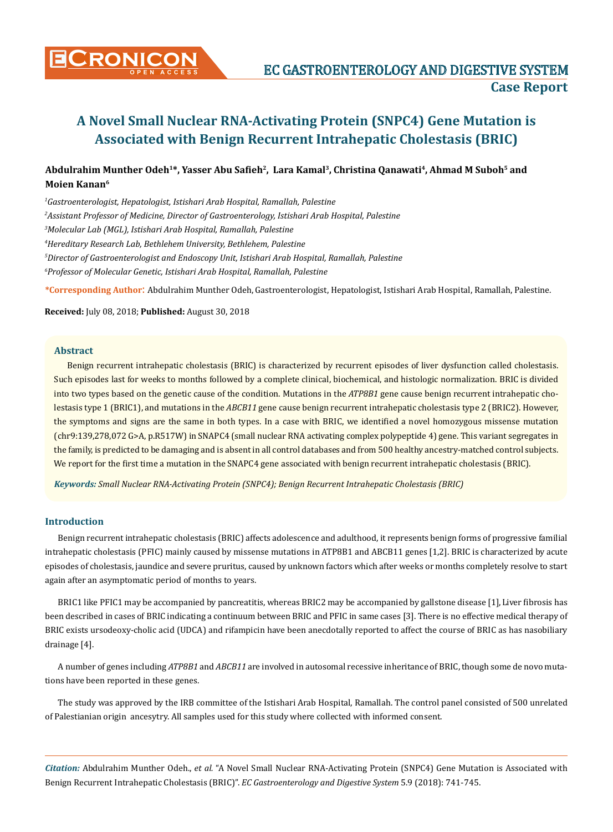

# **A Novel Small Nuclear RNA-Activating Protein (SNPC4) Gene Mutation is Associated with Benign Recurrent Intrahepatic Cholestasis (BRIC)**

# **Abdulrahim Munther Odeh1\*, Yasser Abu Safieh2, Lara Kamal3, Christina Qanawati4, Ahmad M Suboh5 and Moien Kanan6**

 *Gastroenterologist, Hepatologist, Istishari Arab Hospital, Ramallah, Palestine Assistant Professor of Medicine, Director of Gastroenterology, Istishari Arab Hospital, Palestine Molecular Lab (MGL), Istishari Arab Hospital, Ramallah, Palestine Hereditary Research Lab, Bethlehem University, Bethlehem, Palestine Director of Gastroenterologist and Endoscopy Unit, Istishari Arab Hospital, Ramallah, Palestine Professor of Molecular Genetic, Istishari Arab Hospital, Ramallah, Palestine*

**\*Corresponding Author**: Abdulrahim Munther Odeh, Gastroenterologist, Hepatologist, Istishari Arab Hospital, Ramallah, Palestine.

**Received:** July 08, 2018; **Published:** August 30, 2018

#### **Abstract**

Benign recurrent intrahepatic cholestasis (BRIC) is characterized by recurrent episodes of liver dysfunction called cholestasis. Such episodes last for weeks to months followed by a complete clinical, biochemical, and histologic normalization. BRIC is divided into two types based on the genetic cause of the condition. Mutations in the *ATP8B1* gene cause benign recurrent intrahepatic cholestasis type 1 (BRIC1), and mutations in the *ABCB11* gene cause benign recurrent intrahepatic cholestasis type 2 (BRIC2). However, the symptoms and signs are the same in both types. In a case with BRIC, we identified a novel homozygous missense mutation (chr9:139,278,072 G>A, p.R517W) in SNAPC4 (small nuclear RNA activating complex polypeptide 4) gene. This variant segregates in the family, is predicted to be damaging and is absent in all control databases and from 500 healthy ancestry-matched control subjects. We report for the first time a mutation in the SNAPC4 gene associated with benign recurrent intrahepatic cholestasis (BRIC).

*Keywords: Small Nuclear RNA-Activating Protein (SNPC4); Benign Recurrent Intrahepatic Cholestasis (BRIC)*

## **Introduction**

Benign recurrent intrahepatic cholestasis (BRIC) affects adolescence and adulthood, it represents benign forms of progressive familial intrahepatic cholestasis (PFIC) mainly caused by missense mutations in ATP8B1 and ABCB11 genes [1,2]. BRIC is characterized by acute episodes of cholestasis, jaundice and severe pruritus, caused by unknown factors which after weeks or months completely resolve to start again after an asymptomatic period of months to years.

BRIC1 like PFIC1 may be accompanied by pancreatitis, whereas BRIC2 may be accompanied by gallstone disease [1], Liver fibrosis has been described in cases of BRIC indicating a continuum between BRIC and PFIC in same cases [3]. There is no effective medical therapy of BRIC exists ursodeoxy-cholic acid (UDCA) and rifampicin have been anecdotally reported to affect the course of BRIC as has nasobiliary drainage [4].

A number of genes including *[ATP8B1](https://ghr.nlm.nih.gov/gene/ATP8B1)* and *[ABCB11](https://ghr.nlm.nih.gov/gene/ABCB11)* are involved in autosomal recessive inheritance of BRIC, though some de novo mutations have been reported in these genes.

The study was approved by the IRB committee of the Istishari Arab Hospital, Ramallah. The control panel consisted of 500 unrelated of Palestianian origin ancesytry. All samples used for this study where collected with informed consent.

*Citation:* Abdulrahim Munther Odeh., *et al.* "A Novel Small Nuclear RNA-Activating Protein (SNPC4) Gene Mutation is Associated with Benign Recurrent Intrahepatic Cholestasis (BRIC)". *EC Gastroenterology and Digestive System* 5.9 (2018): 741-745.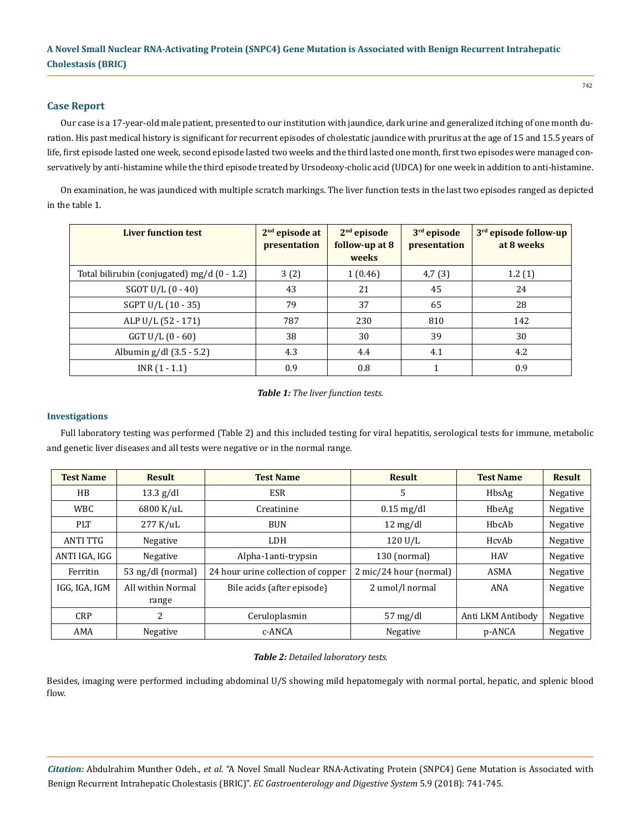## **Case Report**

Our case is a 17-year-old male patient, presented to our institution with jaundice, dark urine and generalized itching of one month duration. His past medical history is significant for recurrent episodes of cholestatic jaundice with pruritus at the age of 15 and 15.5 years of life, first episode lasted one week, second episode lasted two weeks and the third lasted one month, first two episodes were managed conservatively by anti-histamine while the third episode treated by Ursodeoxy-cholic acid (UDCA) for one week in addition to anti-histamine.

On examination, he was jaundiced with multiple scratch markings. The liver function tests in the last two episodes ranged as depicted in the table 1.

| <b>Liver function test</b>                    | $2nd$ episode at<br>presentation | $2nd$ episode<br>follow-up at 8<br>weeks | $3rd$ episode<br>presentation | $3rd$ episode follow-up<br>at 8 weeks |
|-----------------------------------------------|----------------------------------|------------------------------------------|-------------------------------|---------------------------------------|
| Total bilirubin (conjugated) mg/d $(0 - 1.2)$ | 3(2)                             | 1(0.46)                                  | 4,7(3)                        | 1.2(1)                                |
| SGOT U/L (0 - 40)                             | 43                               | 21                                       | 45                            | 24                                    |
| SGPT U/L (10 - 35)                            | 79                               | 37                                       | 65                            | 28                                    |
| ALP U/L (52 - 171)                            | 787                              | 230                                      | 810                           | 142                                   |
| $GGT U/L (0 - 60)$                            | 38                               | 30                                       | 39                            | 30                                    |
| Albumin $g/dl$ (3.5 - 5.2)                    | 4.3                              | 4.4                                      | 4.1                           | 4.2                                   |
| $INR(1 - 1.1)$                                | 0.9                              | 0.8                                      |                               | 0.9                                   |

*Table 1: The liver function tests.*

#### **Investigations**

Full laboratory testing was performed (Table 2) and this included testing for viral hepatitis, serological tests for immune, metabolic and genetic liver diseases and all tests were negative or in the normal range.

| <b>Test Name</b> | <b>Result</b>     | <b>Test Name</b>                   | <b>Result</b>          | <b>Test Name</b>  | <b>Result</b> |
|------------------|-------------------|------------------------------------|------------------------|-------------------|---------------|
| HB               | $13.3$ g/dl       | <b>ESR</b>                         | 5                      | HbsAg             | Negative      |
| <b>WBC</b>       | 6800 K/uL         | Creatinine                         | $0.15$ mg/dl           | HbeAg             | Negative      |
| <b>PLT</b>       | 277 K/uL          | <b>BUN</b>                         | $12 \text{ mg/dl}$     | HbcAb             | Negative      |
| <b>ANTI TTG</b>  | Negative          | LDH.                               | 120 U/L                | HcvAb             | Negative      |
| ANTI IGA, IGG    | Negative          | Alpha-1anti-trypsin                | 130 (normal)           | <b>HAV</b>        | Negative      |
| Ferritin         | 53 ng/dl (normal) | 24 hour urine collection of copper | 2 mic/24 hour (normal) | ASMA              | Negative      |
| IGG, IGA, IGM    | All within Normal | Bile acids (after episode)         | 2 umol/l normal        | ANA               | Negative      |
|                  | range             |                                    |                        |                   |               |
| <b>CRP</b>       | 2                 | Ceruloplasmin                      | $57 \text{ mg/dl}$     | Anti LKM Antibody | Negative      |
| AMA              | Negative          | c-ANCA                             | Negative               | p-ANCA            | Negative      |

#### *Table 2: Detailed laboratory tests.*

Besides, imaging were performed including abdominal U/S showing mild hepatomegaly with normal portal, hepatic, and splenic blood flow.

*Citation:* Abdulrahim Munther Odeh., *et al.* "A Novel Small Nuclear RNA-Activating Protein (SNPC4) Gene Mutation is Associated with Benign Recurrent Intrahepatic Cholestasis (BRIC)". *EC Gastroenterology and Digestive System* 5.9 (2018): 741-745.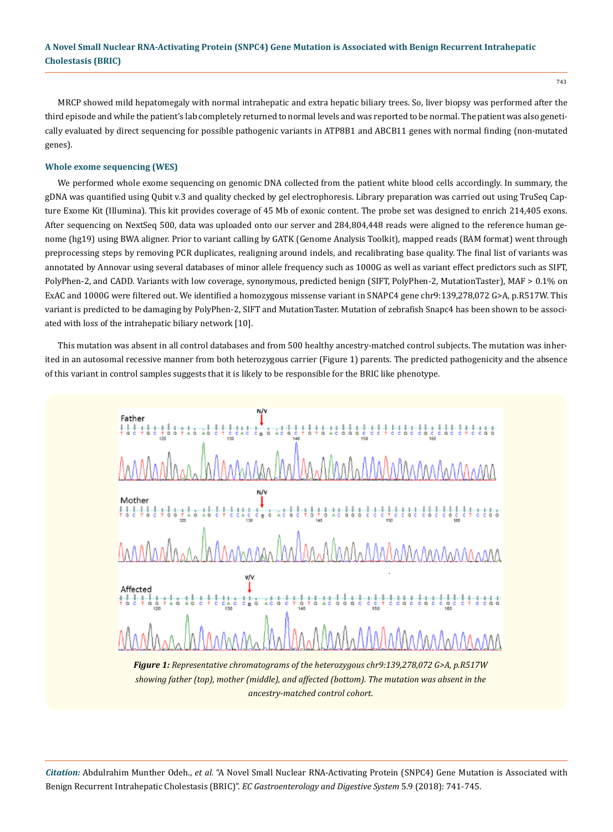# **A Novel Small Nuclear RNA-Activating Protein (SNPC4) Gene Mutation is Associated with Benign Recurrent Intrahepatic Cholestasis (BRIC)**

MRCP showed mild hepatomegaly with normal intrahepatic and extra hepatic biliary trees. So, liver biopsy was performed after the third episode and while the patient's lab completely returned to normal levels and was reported to be normal. The patient was also genetically evaluated by direct sequencing for possible pathogenic variants in ATP8B1 and ABCB11 genes with normal finding (non-mutated genes).

#### **Whole exome sequencing (WES)**

We performed whole exome sequencing on genomic DNA collected from the patient white blood cells accordingly. In summary, the gDNA was quantified using Qubit v.3 and quality checked by gel electrophoresis. Library preparation was carried out using TruSeq Capture Exome Kit (Illumina). This kit provides coverage of 45 Mb of exonic content. The probe set was designed to enrich 214,405 exons. After sequencing on NextSeq 500, data was uploaded onto our server and 284,804,448 reads were aligned to the reference human genome (hg19) using BWA aligner. Prior to variant calling by GATK (Genome Analysis Toolkit), mapped reads (BAM format) went through preprocessing steps by removing PCR duplicates, realigning around indels, and recalibrating base quality. The final list of variants was annotated by Annovar using several databases of minor allele frequency such as 1000G as well as variant effect predictors such as SIFT, PolyPhen-2, and CADD. Variants with low coverage, synonymous, predicted benign (SIFT, PolyPhen-2, MutationTaster), MAF > 0.1% on ExAC and 1000G were filtered out. We identified a homozygous missense variant in SNAPC4 gene chr9:139,278,072 G>A, p.R517W. This variant is predicted to be damaging by PolyPhen-2, SIFT and MutationTaster. Mutation of zebrafish Snapc4 has been shown to be associated with loss of the intrahepatic biliary network [10].

This mutation was absent in all control databases and from 500 healthy ancestry-matched control subjects. The mutation was inherited in an autosomal recessive manner from both heterozygous carrier (Figure 1) parents. The predicted pathogenicity and the absence of this variant in control samples suggests that it is likely to be responsible for the BRIC like phenotype.



*ancestry-matched control cohort.*

*Citation:* Abdulrahim Munther Odeh., *et al.* "A Novel Small Nuclear RNA-Activating Protein (SNPC4) Gene Mutation is Associated with Benign Recurrent Intrahepatic Cholestasis (BRIC)". *EC Gastroenterology and Digestive System* 5.9 (2018): 741-745.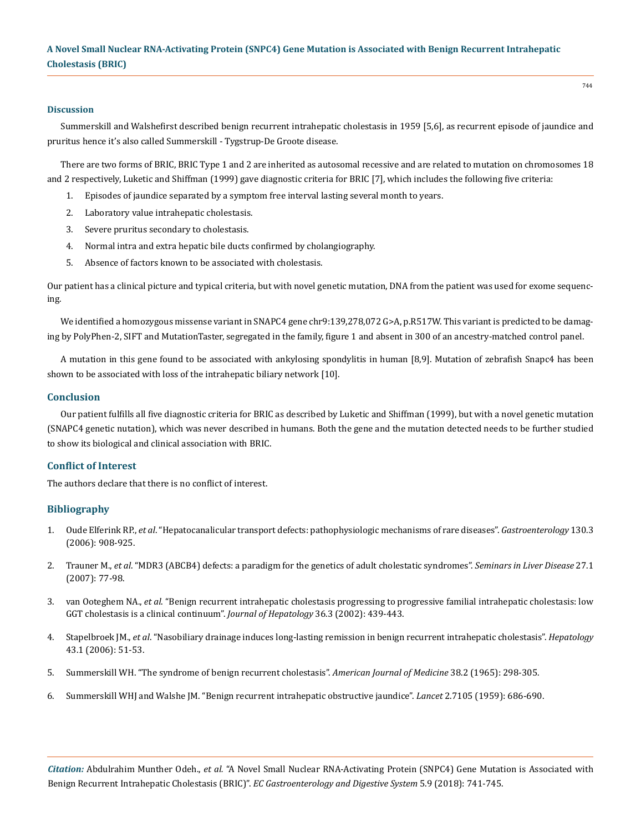### **Discussion**

Summerskill and Walshefirst described benign recurrent intrahepatic cholestasis in 1959 [5,6], as recurrent episode of jaundice and pruritus hence it's also called Summerskill - Tygstrup-De Groote disease.

There are two forms of BRIC, BRIC Type 1 and 2 are inherited as autosomal recessive and are related to mutation on chromosomes 18 and 2 respectively, Luketic and Shiffman (1999) gave diagnostic criteria for BRIC [7], which includes the following five criteria:

- 1. Episodes of jaundice separated by a symptom free interval lasting several month to years.
- 2. Laboratory value intrahepatic cholestasis.
- 3. Severe pruritus secondary to cholestasis.
- 4. Normal intra and extra hepatic bile ducts confirmed by cholangiography.
- 5. Absence of factors known to be associated with cholestasis.

Our patient has a clinical picture and typical criteria, but with novel genetic mutation, DNA from the patient was used for exome sequencing.

We identified a homozygous missense variant in SNAPC4 gene chr9:139,278,072 G>A, p.R517W. This variant is predicted to be damaging by PolyPhen-2, SIFT and MutationTaster, segregated in the family, figure 1 and absent in 300 of an ancestry-matched control panel.

A mutation in this gene found to be associated with ankylosing spondylitis in human [8,9]. Mutation of zebrafish Snapc4 has been shown to be associated with loss of the intrahepatic biliary network [10].

### **Conclusion**

Our patient fulfills all five diagnostic criteria for BRIC as described by Luketic and Shiffman (1999), but with a novel genetic mutation (SNAPC4 genetic nutation), which was never described in humans. Both the gene and the mutation detected needs to be further studied to show its biological and clinical association with BRIC.

# **Conflict of Interest**

The authors declare that there is no conflict of interest.

# **Bibliography**

- 1. Oude Elferink RP., *et al*[. "Hepatocanalicular transport defects: pathophysiologic mechanisms of rare diseases".](https://www.ncbi.nlm.nih.gov/pubmed/16530529) *Gastroenterology* 130.3 [\(2006\): 908-925.](https://www.ncbi.nlm.nih.gov/pubmed/16530529)
- 2. Trauner M., *et al*[. "MDR3 \(ABCB4\) defects: a paradigm for the genetics of adult cholestatic syndromes".](https://www.ncbi.nlm.nih.gov/pubmed/17295178) *Seminars in Liver Disease* 27.1 [\(2007\): 77-98.](https://www.ncbi.nlm.nih.gov/pubmed/17295178)
- 3. van Ooteghem NA., *et al*[. "Benign recurrent intrahepatic cholestasis progressing to progressive familial intrahepatic cholestasis: low](https://www.ncbi.nlm.nih.gov/pubmed/11867191)  [GGT cholestasis is a clinical continuum".](https://www.ncbi.nlm.nih.gov/pubmed/11867191) *Journal of Hepatology* 36.3 (2002): 439-443.
- 4. Stapelbroek JM., *et al*[. "Nasobiliary drainage induces long-lasting remission in benign recurrent intrahepatic cholestasis".](https://www.ncbi.nlm.nih.gov/pubmed/16374853) *Hepatology*  [43.1 \(2006\): 51-53.](https://www.ncbi.nlm.nih.gov/pubmed/16374853)
- 5. [Summerskill WH. "The syndrome of benign recurrent cholestasis".](https://www.amjmed.com/article/0002-9343(65)90184-1/fulltext) *American Journal of Medicine* 38.2 (1965): 298-305.
- 6. [Summerskill WHJ and Walshe JM. "Benign recurrent intrahepatic obstructive jaundice".](https://www.ncbi.nlm.nih.gov/pubmed/13835689) *Lancet* 2.7105 (1959): 686-690.

*Citation:* Abdulrahim Munther Odeh., *et al.* "A Novel Small Nuclear RNA-Activating Protein (SNPC4) Gene Mutation is Associated with Benign Recurrent Intrahepatic Cholestasis (BRIC)". *EC Gastroenterology and Digestive System* 5.9 (2018): 741-745.